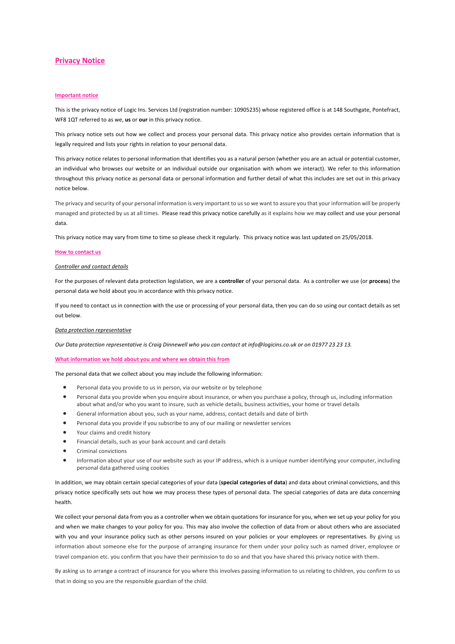# **Privacy Notice**

## **Important notice**

This is the privacy notice of Logic Ins. Services Ltd (registration number: 10905235) whose registered office is at 148 Southgate, Pontefract, WF8 1QT referred to as we, **us** or **our** in this privacy notice.

This privacy notice sets out how we collect and process your personal data. This privacy notice also provides certain information that is legally required and lists your rights in relation to your personal data.

This privacy notice relates to personal information that identifies you as a natural person (whether you are an actual or potential customer, an individual who browses our website or an individual outside our organisation with whom we interact). We refer to this information throughout this privacy notice as personal data or personal information and further detail of what this includes are set out in this privacy notice below.

The privacy and security of your personal information is very important to us so we want to assure you that your information will be properly managed and protected by us at all times. Please read this privacy notice carefully as it explains how we may collect and use your personal data.

This privacy notice may vary from time to time so please check it regularly. This privacy notice was last updated on 25/05/2018.

#### **How to contact us**

## *Controller and contact details*

For the purposes of relevant data protection legislation, we are a **controller** of your personal data. As a controller we use (or **process**) the personal data we hold about you in accordance with this privacy notice.

If you need to contact us in connection with the use or processing of your personal data, then you can do so using our contact details as set out below.

## *Data protection representative*

*Our Data protection representative is Craig Dinnewell who you can contact at info@logicins.co.uk or on 01977 23 23 13.*

### **What information we hold about you and where we obtain this from**

The personal data that we collect about you may include the following information:

- Personal data you provide to us in person, via our website or by telephone
- Personal data you provide when you enquire about insurance, or when you purchase a policy, through us, including information about what and/or who you want to insure, such as vehicle details, business activities, your home or travel details
- General information about you, such as your name, address, contact details and date of birth
- Personal data you provide if you subscribe to any of our mailing or newsletter services
- Your claims and credit history
- Financial details, such as your bank account and card details
- Criminal convictions
- Information about your use of our website such as your IP address, which is a unique number identifying your computer, including personal data gathered using cookies

In addition, we may obtain certain special categories of your data (**special categories of data**) and data about criminal convictions, and this privacy notice specifically sets out how we may process these types of personal data. The special categories of data are data concerning health.

We collect your personal data from you as a controller when we obtain quotations for insurance for you, when we set up your policy for you and when we make changes to your policy for you. This may also involve the collection of data from or about others who are associated with you and your insurance policy such as other persons insured on your policies or your employees or representatives. By giving us information about someone else for the purpose of arranging insurance for them under your policy such as named driver, employee or travel companion etc. you confirm that you have their permission to do so and that you have shared this privacy notice with them.

By asking us to arrange a contract of insurance for you where this involves passing information to us relating to children, you confirm to us that in doing so you are the responsible guardian of the child.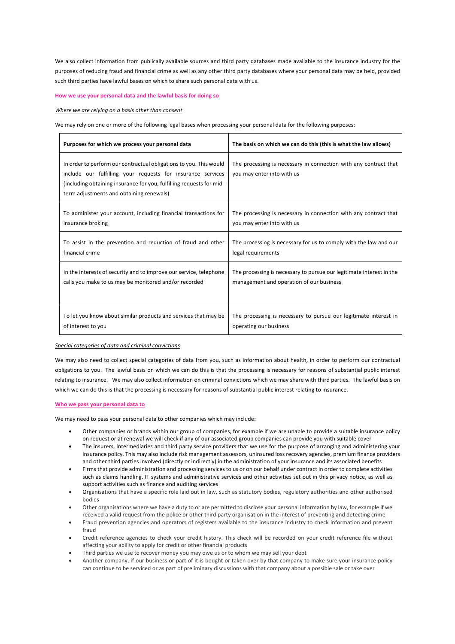We also collect information from publically available sources and third party databases made available to the insurance industry for the purposes of reducing fraud and financial crime as well as any other third party databases where your personal data may be held, provided such third parties have lawful bases on which to share such personal data with us.

## **How we use your personal data and the lawful basis for doing so**

*Where we are relying on a basis other than consent*

We may rely on one or more of the following legal bases when processing your personal data for the following purposes:

| Purposes for which we process your personal data                                                                                                                                                                                                      | The basis on which we can do this (this is what the law allows)                                |
|-------------------------------------------------------------------------------------------------------------------------------------------------------------------------------------------------------------------------------------------------------|------------------------------------------------------------------------------------------------|
| In order to perform our contractual obligations to you. This would<br>include our fulfilling your requests for insurance services<br>(including obtaining insurance for you, fulfilling requests for mid-<br>term adjustments and obtaining renewals) | The processing is necessary in connection with any contract that<br>you may enter into with us |
| To administer your account, including financial transactions for                                                                                                                                                                                      | The processing is necessary in connection with any contract that                               |
| insurance broking                                                                                                                                                                                                                                     | you may enter into with us                                                                     |
| To assist in the prevention and reduction of fraud and other                                                                                                                                                                                          | The processing is necessary for us to comply with the law and our                              |
| financial crime                                                                                                                                                                                                                                       | legal requirements                                                                             |
| In the interests of security and to improve our service, telephone                                                                                                                                                                                    | The processing is necessary to pursue our legitimate interest in the                           |
| calls you make to us may be monitored and/or recorded                                                                                                                                                                                                 | management and operation of our business                                                       |
| To let you know about similar products and services that may be                                                                                                                                                                                       | The processing is necessary to pursue our legitimate interest in                               |
| of interest to you                                                                                                                                                                                                                                    | operating our business                                                                         |

### *Special categories of data and criminal convictions*

We may also need to collect special categories of data from you, such as information about health, in order to perform our contractual obligations to you. The lawful basis on which we can do this is that the processing is necessary for reasons of substantial public interest relating to insurance. We may also collect information on criminal convictions which we may share with third parties. The lawful basis on which we can do this is that the processing is necessary for reasons of substantial public interest relating to insurance.

## **Who we pass your personal data to**

We may need to pass your personal data to other companies which may include:

- Other companies or brands within our group of companies, for example if we are unable to provide a suitable insurance policy on request or at renewal we will check if any of our associated group companies can provide you with suitable cover
- The insurers, intermediaries and third party service providers that we use for the purpose of arranging and administering your insurance policy. This may also include risk management assessors, uninsured loss recovery agencies, premium finance providers and other third parties involved (directly or indirectly) in the administration of your insurance and its associated benefits
- Firms that provide administration and processing services to us or on our behalf under contract in order to complete activities such as claims handling, IT systems and administrative services and other activities set out in this privacy notice, as well as support activities such as finance and auditing services
- Organisations that have a specific role laid out in law, such as statutory bodies, regulatory authorities and other authorised bodies
- Other organisations where we have a duty to or are permitted to disclose your personal information by law, for example if we received a valid request from the police or other third party organisation in the interest of preventing and detecting crime
- Fraud prevention agencies and operators of registers available to the insurance industry to check information and prevent fraud
- Credit reference agencies to check your credit history. This check will be recorded on your credit reference file without affecting your ability to apply for credit or other financial products
- Third parties we use to recover money you may owe us or to whom we may sell your debt
- Another company, if our business or part of it is bought or taken over by that company to make sure your insurance policy can continue to be serviced or as part of preliminary discussions with that company about a possible sale or take over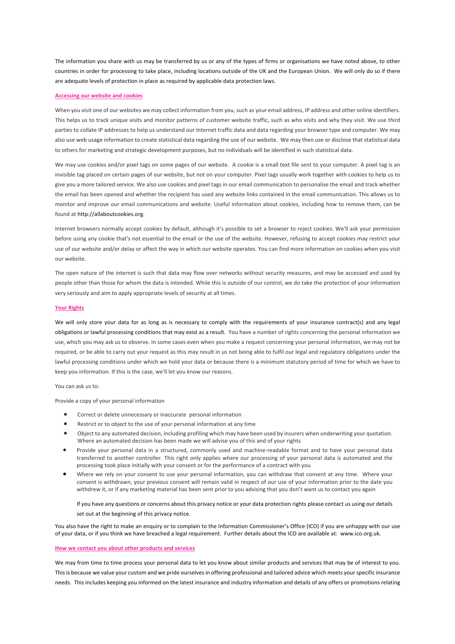The information you share with us may be transferred by us or any of the types of firms or organisations we have noted above, to other countries in order for processing to take place, including locations outside of the UK and the European Union. We will only do so if there are adequate levels of protection in place as required by applicable data protection laws.

### **Accessing our website and cookies**

When you visit one of our websites we may collect information from you, such as your email address, IP address and other online identifiers. This helps us to track unique visits and monitor patterns of customer website traffic, such as who visits and why they visit. We use third parties to collate IP addresses to help us understand our Internet traffic data and data regarding your browser type and computer. We may also use web usage information to create statistical data regarding the use of our website. We may then use or disclose that statistical data to others for marketing and strategic development purposes, but no individuals will be identified in such statistical data.

We may use cookies and/or pixel tags on some pages of our website. A cookie is a small text file sent to your computer. A pixel tag is an invisible tag placed on certain pages of our website, but not on your computer. Pixel tags usually work together with cookies to help us to give you a more tailored service. We also use cookies and pixel tags in our email communication to personalise the email and track whether the email has been opened and whether the recipient has used any website links contained in the email communication. This allows us to monitor and improve our email communications and website. Useful information about cookies, including how to remove them, can be found at http://allaboutcookies.org.

Internet browsers normally accept cookies by default, although it's possible to set a browser to reject cookies. We'll ask your permission before using any cookie that's not essential to the email or the use of the website. However, refusing to accept cookies may restrict your use of our website and/or delay or affect the way in which our website operates. You can find more information on cookies when you visit our website.

The open nature of the internet is such that data may flow over networks without security measures, and may be accessed and used by people other than those for whom the data is intended. While this is outside of our control, we do take the protection of your information very seriously and aim to apply appropriate levels of security at all times.

### **Your Rights**

We will only store your data for as long as is necessary to comply with the requirements of your insurance contract(s) and any legal obligations or lawful processing conditions that may exist as a result. You have a number of rights concerning the personal information we use, which you may ask us to observe. In some cases even when you make a request concerning your personal information, we may not be required, or be able to carry out your request as this may result in us not being able to fulfil our legal and regulatory obligations under the lawful processing conditions under which we hold your data or because there is a minimum statutory period of time for which we have to keep you information. If this is the case, we'll let you know our reasons.

You can ask us to:

Provide a copy of your personal information

- Correct or delete unnecessary or inaccurate personal information
- Restrict or to object to the use of your personal information at any time
- Object to any automated decision, including profiling which may have been used by insurers when underwriting your quotation. Where an automated decision has been made we will advise you of this and of your rights
- Provide your personal data in a structured, commonly used and machine-readable format and to have your personal data transferred to another controller. This right only applies where our processing of your personal data is automated and the processing took place initially with your consent or for the performance of a contract with you
- Where we rely on your consent to use your personal information, you can withdraw that consent at any time. Where your consent is withdrawn, your previous consent will remain valid in respect of our use of your information prior to the date you withdrew it, or if any marketing material has been sent prior to you advising that you don't want us to contact you again

If you have any questions or concerns about this privacy notice or your data protection rights please contact us using our details set out at the beginning of this privacy notice.

You also have the right to make an enquiry or to complain to the Information Commissioner's Office (ICO) if you are unhappy with our use of your data, or if you think we have breached a legal requirement. Further details about the ICO are available at: www.ico.org.uk.

#### **How we contact you about other products and services**

We may from time to time process your personal data to let you know about similar products and services that may be of interest to you. This is because we value your custom and we pride ourselves in offering professional and tailored advice which meets your specific insurance needs. This includes keeping you informed on the latest insurance and industry information and details of any offers or promotions relating